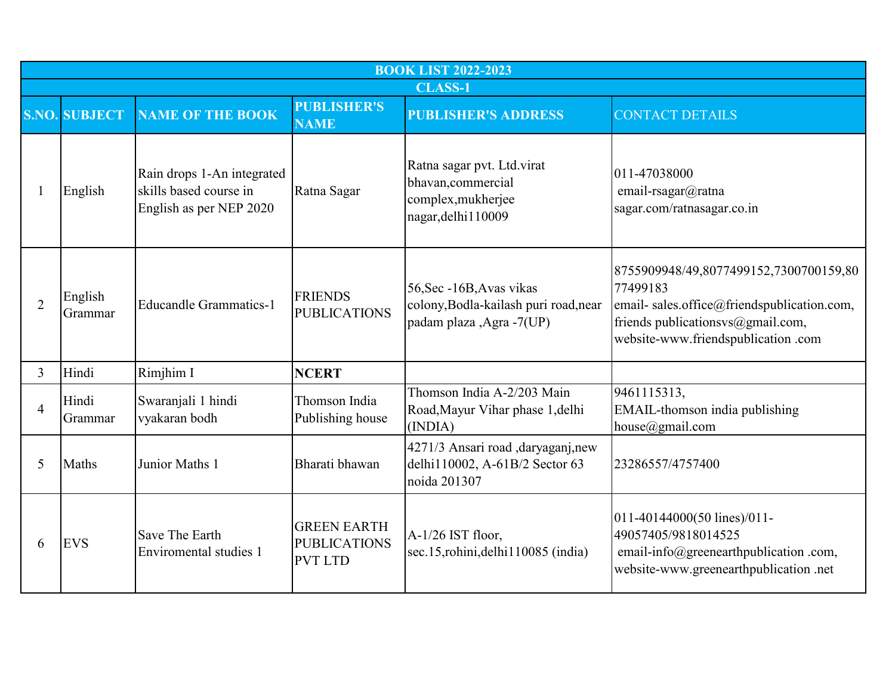|                | <b>BOOK LIST 2022-2023</b> |                                                                                 |                                                             |                                                                                               |                                                                                                                                                                             |  |  |  |  |
|----------------|----------------------------|---------------------------------------------------------------------------------|-------------------------------------------------------------|-----------------------------------------------------------------------------------------------|-----------------------------------------------------------------------------------------------------------------------------------------------------------------------------|--|--|--|--|
|                | <b>CLASS-1</b>             |                                                                                 |                                                             |                                                                                               |                                                                                                                                                                             |  |  |  |  |
|                | <b>S.NO. SUBJECT</b>       | <b>NAME OF THE BOOK</b>                                                         | <b>PUBLISHER'S</b><br><b>NAME</b>                           | <b>PUBLISHER'S ADDRESS</b>                                                                    | <b>CONTACT DETAILS</b>                                                                                                                                                      |  |  |  |  |
|                | English                    | Rain drops 1-An integrated<br>skills based course in<br>English as per NEP 2020 | Ratna Sagar                                                 | Ratna sagar pvt. Ltd.virat<br>bhavan, commercial<br>complex, mukherjee<br>nagar, delhi 110009 | 011-47038000<br>email-rsagar@ratna<br>sagar.com/ratnasagar.co.in                                                                                                            |  |  |  |  |
| $\overline{2}$ | English<br>Grammar         | <b>Educandle Grammatics-1</b>                                                   | <b>FRIENDS</b><br><b>PUBLICATIONS</b>                       | 56, Sec -16B, Avas vikas<br>colony, Bodla-kailash puri road, near<br>padam plaza ,Agra -7(UP) | 8755909948/49,8077499152,7300700159,80<br>77499183<br>email-sales.office@friendspublication.com,<br>friends publicationsvs@gmail.com,<br>website-www.friendspublication.com |  |  |  |  |
| 3              | Hindi                      | Rimjhim I                                                                       | <b>NCERT</b>                                                |                                                                                               |                                                                                                                                                                             |  |  |  |  |
| $\overline{4}$ | Hindi<br>Grammar           | Swaranjali 1 hindi<br>vyakaran bodh                                             | Thomson India<br>Publishing house                           | Thomson India A-2/203 Main<br>Road, Mayur Vihar phase 1, delhi<br>(INDIA)                     | 9461115313,<br>EMAIL-thomson india publishing<br>house $@$ gmail.com                                                                                                        |  |  |  |  |
| 5              | Maths                      | Junior Maths 1                                                                  | Bharati bhawan                                              | 4271/3 Ansari road ,daryaganj,new<br>delhi110002, A-61B/2 Sector 63<br>noida 201307           | 23286557/4757400                                                                                                                                                            |  |  |  |  |
| 6              | <b>EVS</b>                 | Save The Earth<br>Enviromental studies 1                                        | <b>GREEN EARTH</b><br><b>PUBLICATIONS</b><br><b>PVT LTD</b> | A-1/26 IST floor,<br>sec.15, rohini, delhi 110085 (india)                                     | 011-40144000(50 lines)/011-<br>49057405/9818014525<br>email-info@greenearthpublication.com,<br>website-www.greenearthpublication.net                                        |  |  |  |  |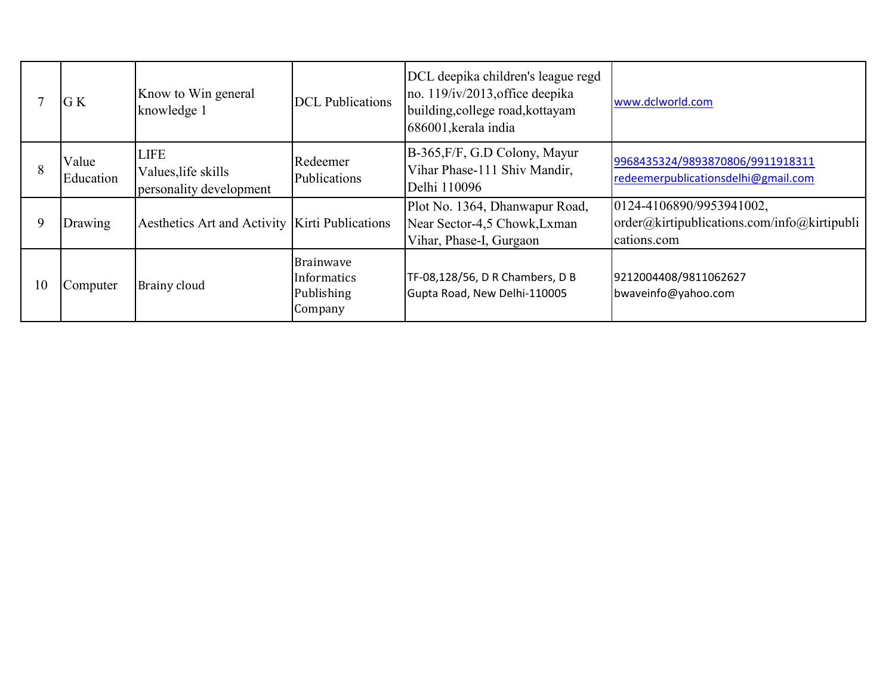|    | G K                | Know to Win general<br>knowledge 1                            | <b>DCL</b> Publications                                  | DCL deepika children's league regd<br>no. 119/iv/2013, office deepika<br>building, college road, kottayam<br>686001, kerala india | www.dclworld.com                                                                       |
|----|--------------------|---------------------------------------------------------------|----------------------------------------------------------|-----------------------------------------------------------------------------------------------------------------------------------|----------------------------------------------------------------------------------------|
|    | Value<br>Education | <b>LIFE</b><br>Values, life skills<br>personality development | Redeemer<br>Publications                                 | B-365, F/F, G.D Colony, Mayur<br>Vihar Phase-111 Shiv Mandir,<br>Delhi 110096                                                     | 9968435324/9893870806/9911918311<br>redeemerpublicationsdelhi@gmail.com                |
|    | Drawing            | Aesthetics Art and Activity   Kirti Publications              |                                                          | Plot No. 1364, Dhanwapur Road,<br>Near Sector-4,5 Chowk, Lxman<br>Vihar, Phase-I, Gurgaon                                         | 0124-4106890/9953941002,<br>order@kirtipublications.com/info@kirtipubli<br>cations.com |
| 10 | Computer           | Brainy cloud                                                  | <b>Brainwave</b><br>Informatics<br>Publishing<br>Company | TF-08,128/56, D R Chambers, D B<br>Gupta Road, New Delhi-110005                                                                   | 9212004408/9811062627<br>bwaveinfo@yahoo.com                                           |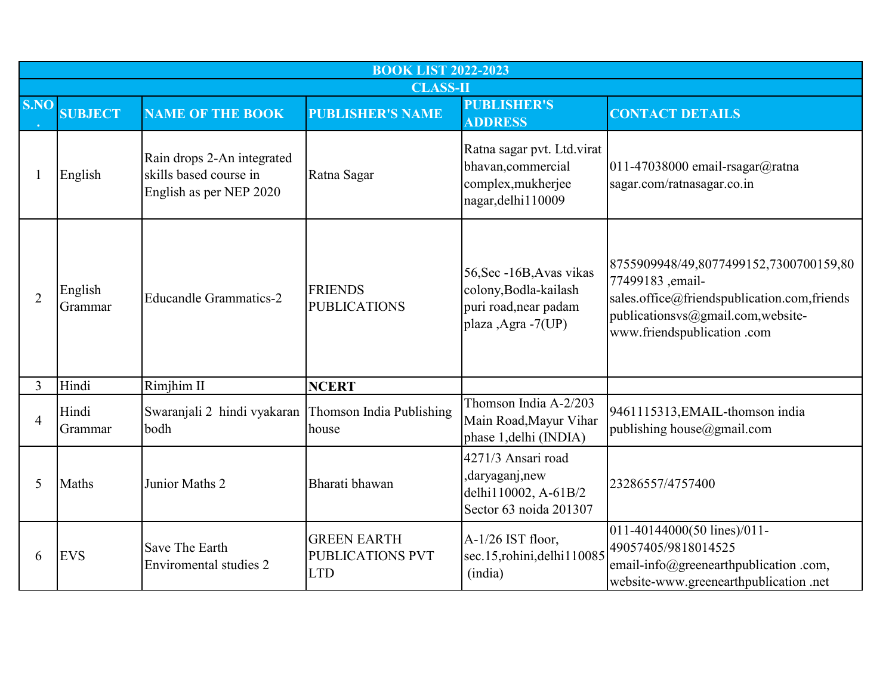|                | <b>BOOK LIST 2022-2023</b> |                                                                                 |                                                             |                                                                                                  |                                                                                                                                                                              |  |  |
|----------------|----------------------------|---------------------------------------------------------------------------------|-------------------------------------------------------------|--------------------------------------------------------------------------------------------------|------------------------------------------------------------------------------------------------------------------------------------------------------------------------------|--|--|
|                |                            |                                                                                 | <b>CLASS-II</b>                                             |                                                                                                  |                                                                                                                                                                              |  |  |
| S.NO           | <b>SUBJECT</b>             | <b>NAME OF THE BOOK</b>                                                         | <b>PUBLISHER'S NAME</b>                                     | <b>PUBLISHER'S</b><br><b>ADDRESS</b>                                                             | <b>CONTACT DETAILS</b>                                                                                                                                                       |  |  |
| 1              | English                    | Rain drops 2-An integrated<br>skills based course in<br>English as per NEP 2020 | Ratna Sagar                                                 | Ratna sagar pvt. Ltd.virat<br>bhavan, commercial<br>complex, mukherjee<br>nagar, delhi 110009    | 011-47038000 email-rsagar@ratna<br>sagar.com/ratnasagar.co.in                                                                                                                |  |  |
| $\overline{2}$ | English<br>Grammar         | <b>Educandle Grammatics-2</b>                                                   | <b>FRIENDS</b><br><b>PUBLICATIONS</b>                       | 56, Sec -16B, Avas vikas<br>colony, Bodla-kailash<br>puri road, near padam<br>plaza ,Agra -7(UP) | 8755909948/49,8077499152,7300700159,80<br>77499183, email-<br>sales.office@friendspublication.com,friends<br>publicationsvs@gmail.com,website-<br>www.friendspublication.com |  |  |
| 3              | Hindi                      | Rimjhim II                                                                      | <b>NCERT</b>                                                |                                                                                                  |                                                                                                                                                                              |  |  |
| $\overline{4}$ | Hindi<br>Grammar           | Swaranjali 2 hindi vyakaran<br>bodh                                             | Thomson India Publishing<br>house                           | Thomson India A-2/203<br>Main Road, Mayur Vihar<br>phase 1, delhi (INDIA)                        | 9461115313, EMAIL-thomson india<br>publishing house@gmail.com                                                                                                                |  |  |
| 5              | Maths                      | Junior Maths 2                                                                  | Bharati bhawan                                              | 4271/3 Ansari road<br>,daryaganj,new<br>delhi110002, A-61B/2<br>Sector 63 noida 201307           | 23286557/4757400                                                                                                                                                             |  |  |
| 6              | <b>EVS</b>                 | Save The Earth<br>Enviromental studies 2                                        | <b>GREEN EARTH</b><br><b>PUBLICATIONS PVT</b><br><b>LTD</b> | A-1/26 IST floor,<br>sec.15,rohini,delhi110085<br>(india)                                        | 011-40144000(50 lines)/011-<br>49057405/9818014525<br>email-info@greenearthpublication .com,<br>website-www.greenearthpublication .net                                       |  |  |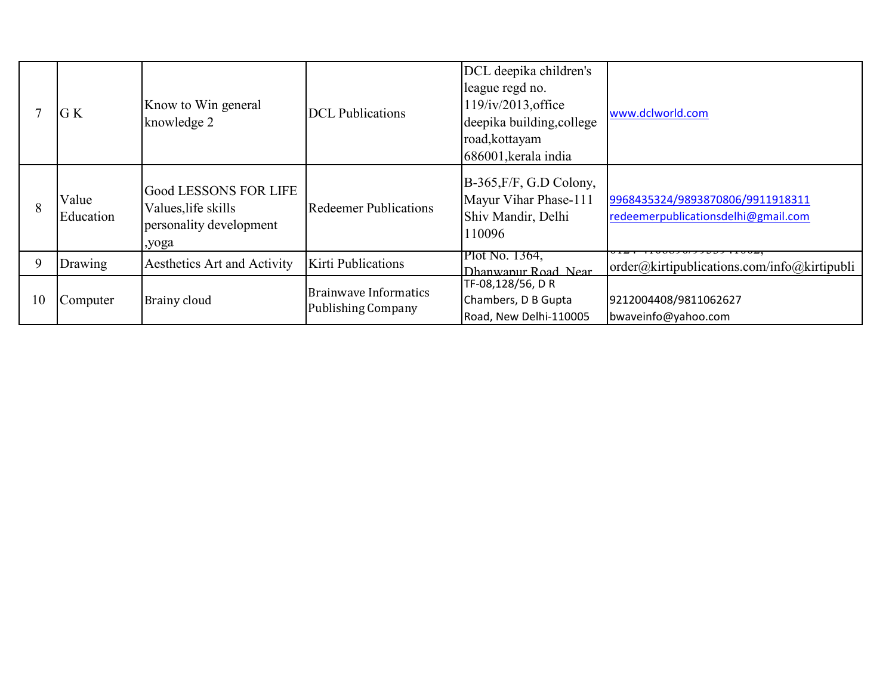|    | G K                | Know to Win general<br>knowledge 2                                               | <b>DCL</b> Publications                                   | DCL deepika children's<br>league regd no.<br>$119$ /iv/2013, office<br>deepika building, college<br>road, kottayam<br>686001, kerala india | www.dclworld.com                                                        |
|----|--------------------|----------------------------------------------------------------------------------|-----------------------------------------------------------|--------------------------------------------------------------------------------------------------------------------------------------------|-------------------------------------------------------------------------|
| 8  | Value<br>Education | Good LESSONS FOR LIFE<br>Values, life skills<br>personality development<br>,yoga | <b>Redeemer Publications</b>                              | B-365, F/F, G.D Colony,<br>Mayur Vihar Phase-111<br>Shiv Mandir, Delhi<br>110096                                                           | 9968435324/9893870806/9911918311<br>redeemerpublicationsdelhi@gmail.com |
| 9  | Drawing            | Aesthetics Art and Activity                                                      | Kirti Publications                                        | Plot No. 1364,<br>Dhanwanur Road Near                                                                                                      | $\vert$ order@kirtipublications.com/info@kirtipubli                     |
| 10 | Computer           | <b>Brainy cloud</b>                                                              | <b>Brainwave Informatics</b><br><b>Publishing Company</b> | TF-08,128/56, DR<br>Chambers, D B Gupta<br>Road, New Delhi-110005                                                                          | 9212004408/9811062627<br>bwaveinfo@yahoo.com                            |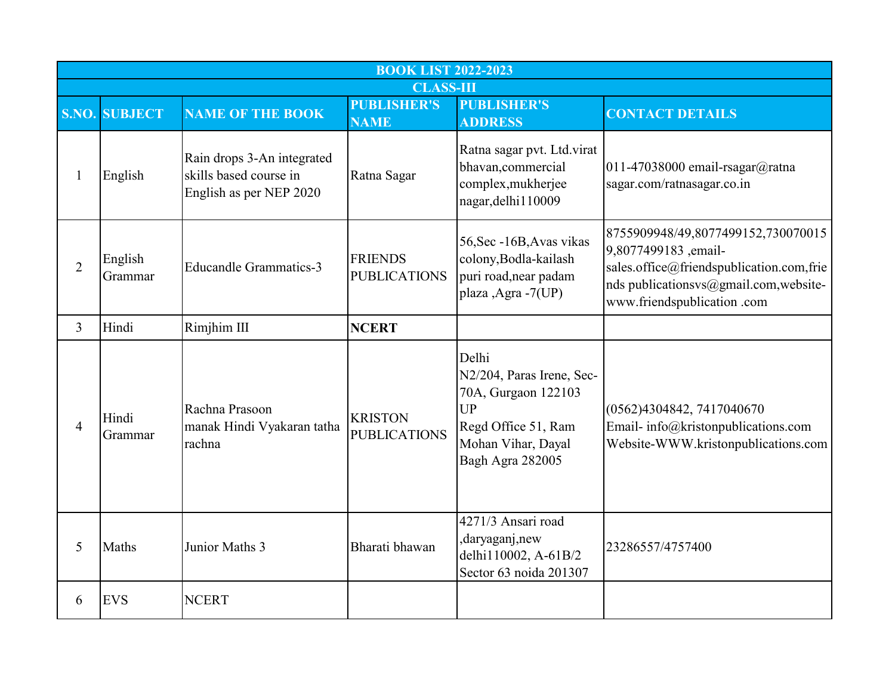|                |                      |                                                                                 | <b>BOOK LIST 2022-2023</b>            |                                                                                                                                         |                                                                                                                                                                               |
|----------------|----------------------|---------------------------------------------------------------------------------|---------------------------------------|-----------------------------------------------------------------------------------------------------------------------------------------|-------------------------------------------------------------------------------------------------------------------------------------------------------------------------------|
|                |                      |                                                                                 | <b>CLASS-III</b>                      |                                                                                                                                         |                                                                                                                                                                               |
|                | <b>S.NO. SUBJECT</b> | <b>NAME OF THE BOOK</b>                                                         | <b>PUBLISHER'S</b><br><b>NAME</b>     | <b>PUBLISHER'S</b><br><b>ADDRESS</b>                                                                                                    | <b>CONTACT DETAILS</b>                                                                                                                                                        |
| 1              | English              | Rain drops 3-An integrated<br>skills based course in<br>English as per NEP 2020 | Ratna Sagar                           | Ratna sagar pvt. Ltd.virat<br>bhavan, commercial<br>complex, mukherjee<br>nagar, delhi 110009                                           | 011-47038000 email-rsagar@ratna<br>sagar.com/ratnasagar.co.in                                                                                                                 |
| $\overline{2}$ | English<br>Grammar   | <b>Educandle Grammatics-3</b>                                                   | <b>FRIENDS</b><br><b>PUBLICATIONS</b> | 56, Sec -16B, Avas vikas<br>colony, Bodla-kailash<br>puri road, near padam<br>plaza ,Agra -7(UP)                                        | 8755909948/49,8077499152,730070015<br>9,8077499183,email-<br>sales.office@friendspublication.com,frie<br>nds publicationsvs@gmail.com,website-<br>www.friendspublication .com |
| $\overline{3}$ | Hindi                | Rimjhim III                                                                     | <b>NCERT</b>                          |                                                                                                                                         |                                                                                                                                                                               |
| 4              | Hindi<br>Grammar     | Rachna Prasoon<br>manak Hindi Vyakaran tatha<br>rachna                          | <b>KRISTON</b><br><b>PUBLICATIONS</b> | Delhi<br>N2/204, Paras Irene, Sec-<br>70A, Gurgaon 122103<br><b>UP</b><br>Regd Office 51, Ram<br>Mohan Vihar, Dayal<br>Bagh Agra 282005 | (0562)4304842, 7417040670<br>Email- info@kristonpublications.com<br>Website-WWW.kristonpublications.com                                                                       |
| 5              | Maths                | Junior Maths 3                                                                  | Bharati bhawan                        | 4271/3 Ansari road<br>daryaganj, new,<br>delhi110002, A-61B/2<br>Sector 63 noida 201307                                                 | 23286557/4757400                                                                                                                                                              |
| 6              | <b>EVS</b>           | <b>NCERT</b>                                                                    |                                       |                                                                                                                                         |                                                                                                                                                                               |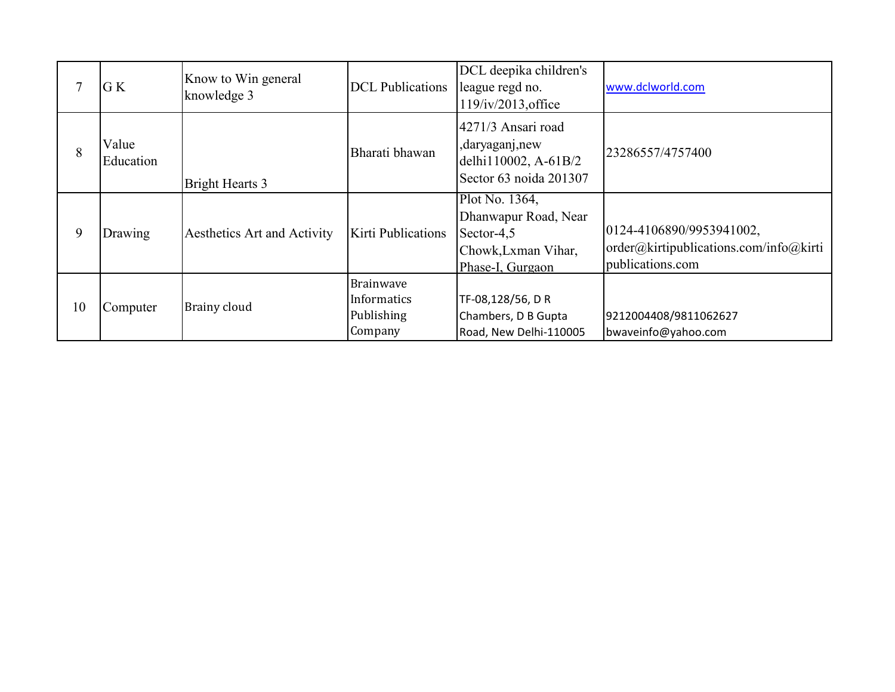|    | G K                | Know to Win general<br>knowledge 3 | <b>DCL</b> Publications                                  | DCL deepika children's<br>league regd no.<br>$119$ /iv/2013, office                             | www.dclworld.com                                                                       |
|----|--------------------|------------------------------------|----------------------------------------------------------|-------------------------------------------------------------------------------------------------|----------------------------------------------------------------------------------------|
| 8  | Value<br>Education | <b>Bright Hearts 3</b>             | Bharati bhawan                                           | 4271/3 Ansari road<br>,daryaganj,new<br>delhi110002, A-61B/2<br>Sector 63 noida 201307          | 23286557/4757400                                                                       |
| 9  | Drawing            | Aesthetics Art and Activity        | Kirti Publications                                       | Plot No. 1364,<br>Dhanwapur Road, Near<br>Sector-4,5<br>Chowk, Lxman Vihar,<br>Phase-I, Gurgaon | 0124-4106890/9953941002,<br>order@kirtipublications.com/info@kirti<br>publications.com |
| 10 | Computer           | Brainy cloud                       | <b>Brainwave</b><br>Informatics<br>Publishing<br>Company | TF-08,128/56, DR<br>Chambers, D B Gupta<br>Road, New Delhi-110005                               | 9212004408/9811062627<br>bwaveinfo@yahoo.com                                           |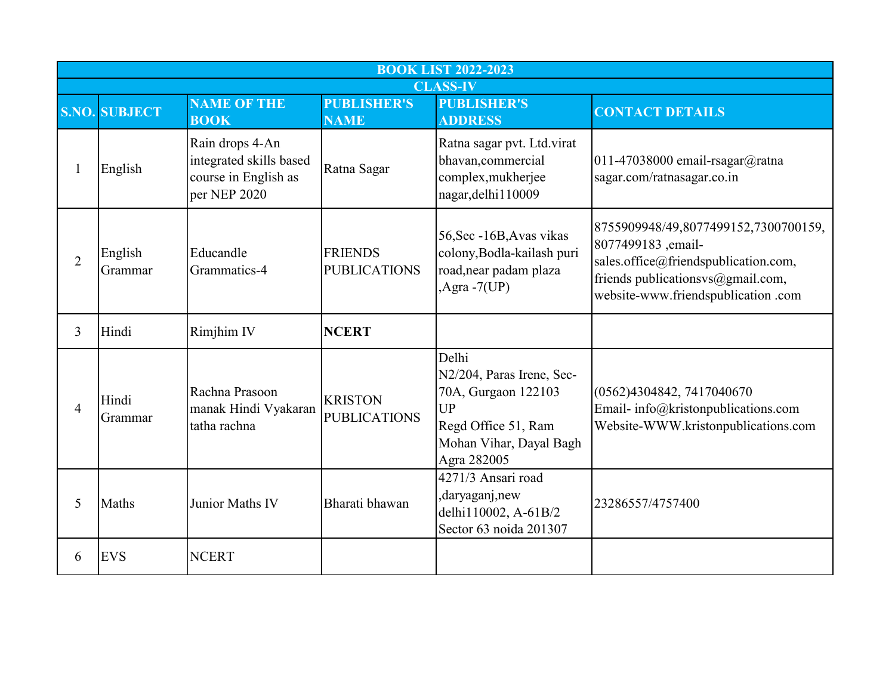|                | <b>BOOK LIST 2022-2023</b> |                                                                                    |                                       |                                                                                                                                         |                                                                                                                                                                               |  |  |
|----------------|----------------------------|------------------------------------------------------------------------------------|---------------------------------------|-----------------------------------------------------------------------------------------------------------------------------------------|-------------------------------------------------------------------------------------------------------------------------------------------------------------------------------|--|--|
|                | <b>CLASS-IV</b>            |                                                                                    |                                       |                                                                                                                                         |                                                                                                                                                                               |  |  |
|                | <b>S.NO. SUBJECT</b>       | <b>NAME OF THE</b><br><b>BOOK</b>                                                  | <b>PUBLISHER'S</b><br><b>NAME</b>     | <b>PUBLISHER'S</b><br><b>ADDRESS</b>                                                                                                    | <b>CONTACT DETAILS</b>                                                                                                                                                        |  |  |
|                | English                    | Rain drops 4-An<br>integrated skills based<br>course in English as<br>per NEP 2020 | Ratna Sagar                           | Ratna sagar pvt. Ltd.virat<br>bhavan, commercial<br>complex, mukherjee<br>nagar, delhi 110009                                           | 011-47038000 email-rsagar@ratna<br>sagar.com/ratnasagar.co.in                                                                                                                 |  |  |
| $\overline{2}$ | English<br>Grammar         | Educandle<br>Grammatics-4                                                          | <b>FRIENDS</b><br><b>PUBLICATIONS</b> | 56, Sec -16B, Avas vikas<br>colony, Bodla-kailash puri<br>road, near padam plaza<br>,Agra $-7(UP)$                                      | 8755909948/49,8077499152,7300700159,<br>8077499183, email-<br>sales.office@friendspublication.com,<br>friends publicationsvs@gmail.com,<br>website-www.friendspublication.com |  |  |
| 3              | Hindi                      | Rimjhim IV                                                                         | <b>NCERT</b>                          |                                                                                                                                         |                                                                                                                                                                               |  |  |
| $\overline{4}$ | Hindi<br>Grammar           | Rachna Prasoon<br>manak Hindi Vyakaran<br>tatha rachna                             | <b>KRISTON</b><br><b>PUBLICATIONS</b> | Delhi<br>N2/204, Paras Irene, Sec-<br>70A, Gurgaon 122103<br><b>UP</b><br>Regd Office 51, Ram<br>Mohan Vihar, Dayal Bagh<br>Agra 282005 | (0562)4304842, 7417040670<br>Email- info@kristonpublications.com<br>Website-WWW.kristonpublications.com                                                                       |  |  |
| 5              | Maths                      | Junior Maths IV                                                                    | Bharati bhawan                        | 4271/3 Ansari road<br>,daryaganj,new<br>delhi110002, A-61B/2<br>Sector 63 noida 201307                                                  | 23286557/4757400                                                                                                                                                              |  |  |
| 6              | <b>EVS</b>                 | <b>NCERT</b>                                                                       |                                       |                                                                                                                                         |                                                                                                                                                                               |  |  |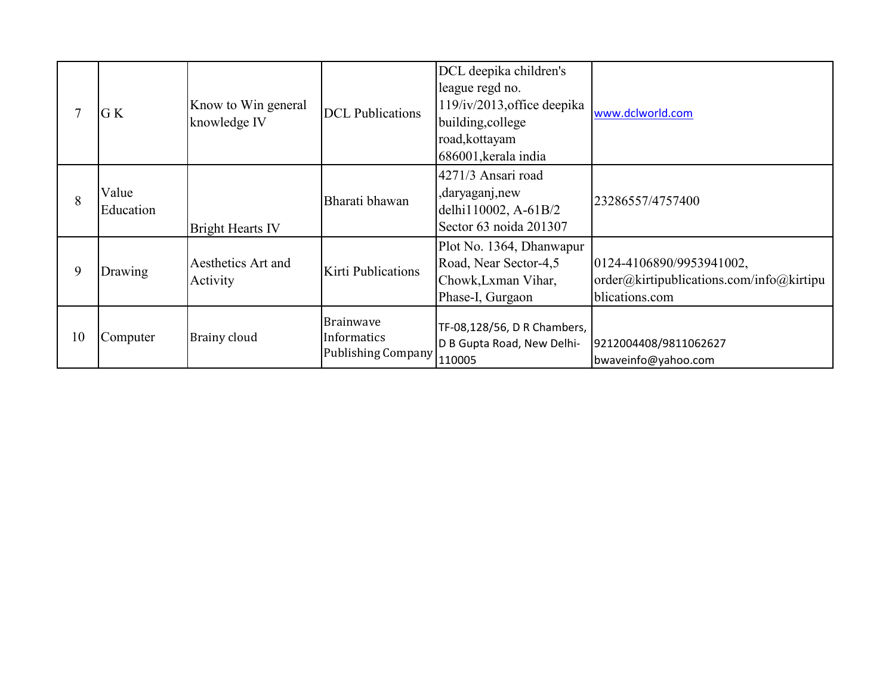|    | G K                | Know to Win general<br>knowledge IV | <b>DCL</b> Publications                                      | DCL deepika children's<br>league regd no.<br>119/iv/2013, office deepika<br>building, college<br>road, kottayam<br>686001, kerala india | www.dclworld.com                                                                       |
|----|--------------------|-------------------------------------|--------------------------------------------------------------|-----------------------------------------------------------------------------------------------------------------------------------------|----------------------------------------------------------------------------------------|
| 8  | Value<br>Education | <b>Bright Hearts IV</b>             | Bharati bhawan                                               | 4271/3 Ansari road<br>,daryaganj,new<br>delhi110002, A-61B/2<br>Sector 63 noida 201307                                                  | 23286557/4757400                                                                       |
| 9  | Drawing            | Aesthetics Art and<br>Activity      | Kirti Publications                                           | Plot No. 1364, Dhanwapur<br>Road, Near Sector-4,5<br>Chowk, Lxman Vihar,<br>Phase-I, Gurgaon                                            | 0124-4106890/9953941002,<br>order@kirtipublications.com/info@kirtipu<br>blications.com |
| 10 | Computer           | Brainy cloud                        | <b>Brainwave</b><br>Informatics<br>Publishing Company 110005 | TF-08,128/56, D R Chambers,<br>D B Gupta Road, New Delhi-                                                                               | 9212004408/9811062627<br>bwaveinfo@yahoo.com                                           |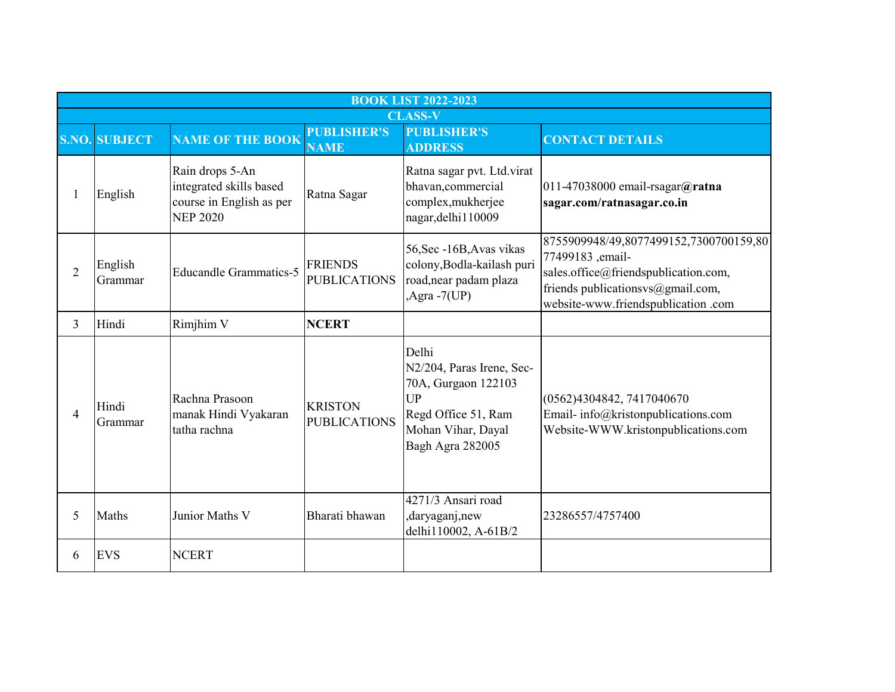|                | <b>BOOK LIST 2022-2023</b> |                                                                                           |                                       |                                                                                                                                         |                                                                                                                                                                               |  |  |
|----------------|----------------------------|-------------------------------------------------------------------------------------------|---------------------------------------|-----------------------------------------------------------------------------------------------------------------------------------------|-------------------------------------------------------------------------------------------------------------------------------------------------------------------------------|--|--|
|                |                            |                                                                                           |                                       | <b>CLASS-V</b>                                                                                                                          |                                                                                                                                                                               |  |  |
|                | <b>S.NO. SUBJECT</b>       | <b>NAME OF THE BOOK</b>                                                                   | <b>PUBLISHER'S</b><br><b>NAME</b>     | <b>PUBLISHER'S</b><br><b>ADDRESS</b>                                                                                                    | <b>CONTACT DETAILS</b>                                                                                                                                                        |  |  |
| 1              | English                    | Rain drops 5-An<br>integrated skills based<br>course in English as per<br><b>NEP 2020</b> | Ratna Sagar                           | Ratna sagar pvt. Ltd.virat<br>bhavan, commercial<br>complex, mukherjee<br>nagar, delhi 110009                                           | 011-47038000 email-rsagar@ratna<br>sagar.com/ratnasagar.co.in                                                                                                                 |  |  |
| 2              | English<br>Grammar         | <b>Educandle Grammatics-5</b>                                                             | <b>FRIENDS</b><br><b>PUBLICATIONS</b> | 56, Sec -16B, Avas vikas<br>colony, Bodla-kailash puri<br>road, near padam plaza<br>$, Agra - 7(UP)$                                    | 8755909948/49,8077499152,7300700159,80<br>77499183, email-<br>sales.office@friendspublication.com,<br>friends publicationsvs@gmail.com,<br>website-www.friendspublication.com |  |  |
| 3              | Hindi                      | Rimjhim V                                                                                 | <b>NCERT</b>                          |                                                                                                                                         |                                                                                                                                                                               |  |  |
| $\overline{4}$ | Hindi<br>Grammar           | Rachna Prasoon<br>manak Hindi Vyakaran<br>tatha rachna                                    | <b>KRISTON</b><br><b>PUBLICATIONS</b> | Delhi<br>N2/204, Paras Irene, Sec-<br>70A, Gurgaon 122103<br><b>UP</b><br>Regd Office 51, Ram<br>Mohan Vihar, Dayal<br>Bagh Agra 282005 | (0562)4304842, 7417040670<br>Email-info@kristonpublications.com<br>Website-WWW.kristonpublications.com                                                                        |  |  |
| 5              | Maths                      | Junior Maths V                                                                            | Bharati bhawan                        | 4271/3 Ansari road<br>,daryaganj,new<br>delhi110002, A-61B/2                                                                            | 23286557/4757400                                                                                                                                                              |  |  |
| 6              | <b>EVS</b>                 | <b>NCERT</b>                                                                              |                                       |                                                                                                                                         |                                                                                                                                                                               |  |  |